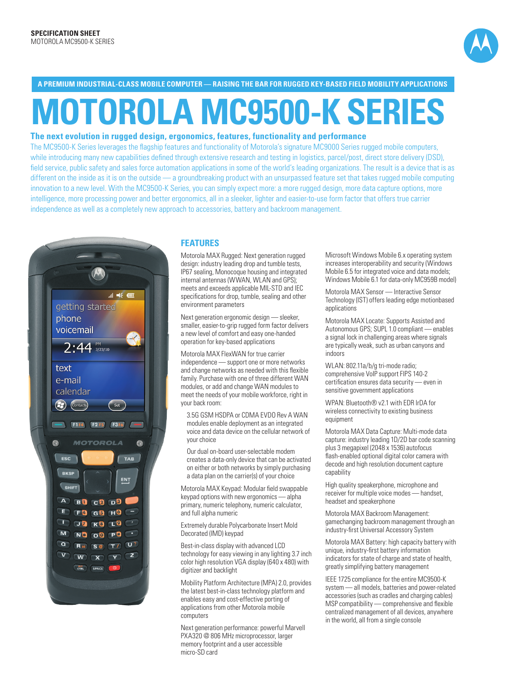

**A PREMIUM INDUSTRIAL-CLASS MOBILE COMPUTER — RAISING THE BAR FOR RUGGED KEY-BASED FIELD MOBILITY APPLICATIONS**

# **MOTOROLA MC9500-K SERIES**

### **The next evolution in rugged design, ergonomics, features, functionality and performance**

The MC9500-K Series leverages the flagship features and functionality of Motorola's signature MC9000 Series rugged mobile computers, while introducing many new capabilities defined through extensive research and testing in logistics, parcel/post, direct store delivery (DSD), field service, public safety and sales force automation applications in some of the world's leading organizations. The result is a device that is as different on the inside as it is on the outside — a groundbreaking product with an unsurpassed feature set that takes rugged mobile computing innovation to a new level. With the MC9500-K Series, you can simply expect more: a more rugged design, more data capture options, more intelligence, more processing power and better ergonomics, all in a sleeker, lighter and easier-to-use form factor that offers true carrier independence as well as a completely new approach to accessories, battery and backroom management.



#### **FEATURES**

Motorola MAX Rugged: Next generation rugged design: industry leading drop and tumble tests, IP67 sealing, Monocoque housing and integrated internal antennas (WWAN, WLAN and GPS); meets and exceeds applicable MIL-STD and IEC specifications for drop, tumble, sealing and other environment parameters

Next generation ergonomic design — sleeker, smaller, easier-to-grip rugged form factor delivers a new level of comfort and easy one-handed operation for key-based applications

Motorola MAX FlexWAN for true carrier independence — support one or more networks and change networks as needed with this flexible family. Purchase with one of three different WAN modules, or add and change WAN modules to meet the needs of your mobile workforce, right in your back room:

3.5G GSM HSDPA or CDMA EVDO Rev A WAN modules enable deployment as an integrated voice and data device on the cellular network of your choice

Our dual on-board user-selectable modem creates a data-only device that can be activated on either or both networks by simply purchasing a data plan on the carrier(s) of your choice

Motorola MAX Keypad: Modular field swappable keypad options with new ergonomics — alpha primary, numeric telephony, numeric calculator, and full alpha numeric

Extremely durable Polycarbonate Insert Mold Decorated (IMD) keypad

Best-in-class display with advanced LCD technology for easy viewing in any lighting 3.7 inch color high resolution VGA display (640 x 480) with digitizer and backlight

Mobility Platform Architecture (MPA) 2.0, provides the latest best-in-class technology platform and enables easy and cost-effective porting of applications from other Motorola mobile computers

Next generation performance: powerful Marvell PXA320 @ 806 MHz microprocessor, larger memory footprint and a user accessible micro-SD card

Microsoft Windows Mobile 6.x operating system increases interoperability and security (Windows Mobile 6.5 for integrated voice and data models; Windows Mobile 6.1 for data-only MC959B model)

Motorola MAX Sensor — Interactive Sensor Technology (IST) offers leading edge motionbased applications

Motorola MAX Locate: Supports Assisted and Autonomous GPS; SUPL 1.0 compliant — enables a signal lock in challenging areas where signals are typically weak, such as urban canyons and indoors

WLAN: 802.11a/b/g tri-mode radio; comprehensive VoIP support FIPS 140-2 certification ensures data security — even in sensitive government applications

WPAN: Bluetooth® v2.1 with EDR IrDA for wireless connectivity to existing business equipment

Motorola MAX Data Capture: Multi-mode data capture: industry leading 1D/2D bar code scanning plus 3 megapixel (2048 x 1536) autofocus flash-enabled optional digital color camera with decode and high resolution document capture capability

High quality speakerphone, microphone and receiver for multiple voice modes — handset, headset and speakerphone

Motorola MAX Backroom Management: gamechanging backroom management through an industry-first Universal Accessory System

Motorola MAX Battery: high capacity battery with unique, industry-first battery information indicators for state of charge and state of health, greatly simplifying battery management

IEEE 1725 compliance for the entire MC9500-K system — all models, batteries and power-related accessories (such as cradles and charging cables) MSP compatibility — comprehensive and flexible centralized management of all devices, anywhere in the world, all from a single console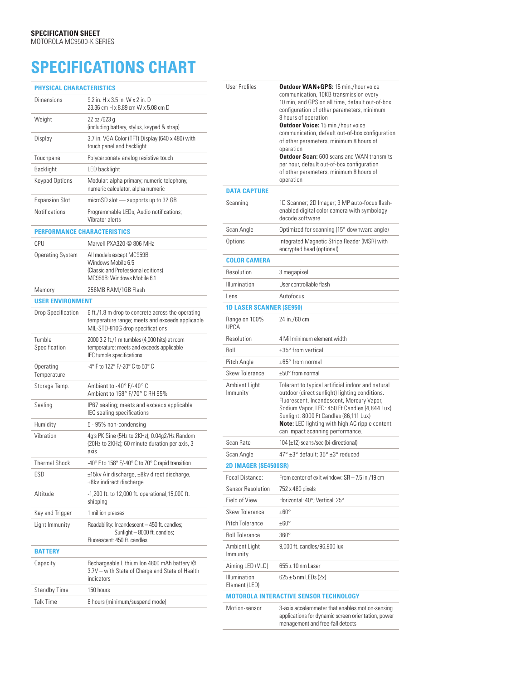## **SPECIFICATIONS CHART**

| <b>PHYSICAL CHARACTERISTICS</b>    |                                                                                                                                          |  |
|------------------------------------|------------------------------------------------------------------------------------------------------------------------------------------|--|
| <b>Dimensions</b>                  | 9.2 in. H x 3.5 in. W x 2 in. D<br>23.36 cm H x 8.89 cm W x 5.08 cm D                                                                    |  |
| Weight                             | 22 oz./623 g<br>(including battery, stylus, keypad & strap)                                                                              |  |
| Display                            | 3.7 in. VGA Color (TFT) Display (640 x 480) with<br>touch panel and backlight                                                            |  |
| Touchpanel                         | Polycarbonate analog resistive touch                                                                                                     |  |
| Backlight                          | <b>LED</b> backlight                                                                                                                     |  |
| Keypad Options                     | Modular: alpha primary; numeric telephony,<br>numeric calculator, alpha numeric                                                          |  |
| <b>Expansion Slot</b>              | microSD slot - supports up to 32 GB                                                                                                      |  |
| Notifications                      | Programmable LEDs; Audio notifications;<br>Vibrator alerts                                                                               |  |
| <b>PERFORMANCE CHARACTERISTICS</b> |                                                                                                                                          |  |
| CPU                                | Marvell PXA320 @ 806 MHz                                                                                                                 |  |
| Operating System                   | All models except MC959B:<br>Windows Mobile 6.5<br>(Classic and Professional editions)<br>MC959B: Windows Mobile 6.1                     |  |
| Memory                             | 256MB RAM/1GB Flash                                                                                                                      |  |
| <b>USER ENVIRONMENT</b>            |                                                                                                                                          |  |
| Drop Specification                 | 6 ft./1.8 m drop to concrete across the operating<br>temperature range; meets and exceeds applicable<br>MIL-STD-810G drop specifications |  |
| Tumble<br>Specification            | 2000 3.2 ft./1 m tumbles (4,000 hits) at room<br>temperature; meets and exceeds applicable<br>IEC tumble specifications                  |  |
| Operating<br>Temperature           | -4° F to 122° F/-20° C to 50° C                                                                                                          |  |
| Storage Temp.                      | Ambient to -40° F/-40° C<br>Ambient to 158° F/70° C RH 95%                                                                               |  |
| Sealing                            | IP67 sealing; meets and exceeds applicable<br>IEC sealing specifications                                                                 |  |
| Humidity                           | 5 - 95% non-condensing                                                                                                                   |  |
| Vibration                          | 4g's PK Sine (5Hz to 2KHz); 0.04g2/Hz Random<br>(20Hz to 2KHz); 60 minute duration per axis, 3<br>axis                                   |  |
| <b>Thermal Shock</b>               | -40° F to 158° F/-40° C to 70° C rapid transition                                                                                        |  |
| ESD                                | ±15kv Air discharge, ±8kv direct discharge,<br>±8kv indirect discharge                                                                   |  |
| Altitude                           | -1,200 ft. to 12,000 ft. operational;15,000 ft.<br>shipping                                                                              |  |
| Key and Trigger                    | 1 million presses                                                                                                                        |  |
| Light Immunity                     | Readability: Incandescent - 450 ft. candles;<br>Sunlight - 8000 ft. candles;<br>Fluorescent: 450 ft. candles                             |  |
| <b>BATTERY</b>                     |                                                                                                                                          |  |
| Capacity                           | Rechargeable Lithium Ion 4800 mAh battery @<br>3.7V - with State of Charge and State of Health<br>indicators                             |  |
| Standby Time                       | 150 hours                                                                                                                                |  |
| Talk Time                          | 8 hours (minimum/suspend mode)                                                                                                           |  |
|                                    |                                                                                                                                          |  |

| <b>User Profiles</b>            | <b>Outdoor WAN+GPS: 15 min./hour voice</b><br>communication, 10KB transmission every<br>10 min, and GPS on all time, default out-of-box<br>configuration of other parameters, minimum<br>8 hours of operation<br><b>Outdoor Voice: 15 min./hour voice</b><br>communication, default out-of-box configuration<br>of other parameters, minimum 8 hours of<br>operation<br><b>Outdoor Scan:</b> 600 scans and WAN transmits<br>per hour, default out-of-box configuration<br>of other parameters, minimum 8 hours of<br>operation |
|---------------------------------|--------------------------------------------------------------------------------------------------------------------------------------------------------------------------------------------------------------------------------------------------------------------------------------------------------------------------------------------------------------------------------------------------------------------------------------------------------------------------------------------------------------------------------|
| <b>DATA CAPTURE</b>             |                                                                                                                                                                                                                                                                                                                                                                                                                                                                                                                                |
| Scanning                        | 1D Scanner; 2D Imager; 3 MP auto-focus flash-<br>enabled digital color camera with symbology<br>decode software                                                                                                                                                                                                                                                                                                                                                                                                                |
| Scan Angle                      | Optimized for scanning (15° downward angle)                                                                                                                                                                                                                                                                                                                                                                                                                                                                                    |
| Options                         | Integrated Magnetic Stripe Reader (MSR) with<br>encrypted head (optional)                                                                                                                                                                                                                                                                                                                                                                                                                                                      |
| <b>COLOR CAMERA</b>             |                                                                                                                                                                                                                                                                                                                                                                                                                                                                                                                                |
| Resolution                      | 3 megapixel                                                                                                                                                                                                                                                                                                                                                                                                                                                                                                                    |
| Illumination                    | User controllable flash                                                                                                                                                                                                                                                                                                                                                                                                                                                                                                        |
| Lens                            | Autofocus                                                                                                                                                                                                                                                                                                                                                                                                                                                                                                                      |
| <b>1D LASER SCANNER (SE950)</b> |                                                                                                                                                                                                                                                                                                                                                                                                                                                                                                                                |
| Range on 100%<br><b>UPCA</b>    | 24 in./60 cm                                                                                                                                                                                                                                                                                                                                                                                                                                                                                                                   |
| Resolution                      | 4 Mil minimum element width                                                                                                                                                                                                                                                                                                                                                                                                                                                                                                    |
| Roll                            | $\pm 35^\circ$ from vertical                                                                                                                                                                                                                                                                                                                                                                                                                                                                                                   |
| Pitch Angle                     | $\pm 65^\circ$ from normal                                                                                                                                                                                                                                                                                                                                                                                                                                                                                                     |
| <b>Skew Tolerance</b>           | $\pm 50^\circ$ from normal                                                                                                                                                                                                                                                                                                                                                                                                                                                                                                     |
| Ambient Light<br>Immunity       | Tolerant to typical artificial indoor and natural<br>outdoor (direct sunlight) lighting conditions.<br>Fluorescent, Incandescent, Mercury Vapor,<br>Sodium Vapor, LED: 450 Ft Candles (4,844 Lux)<br>Sunlight: 8000 Ft Candles (86,111 Lux)<br>Note: LED lighting with high AC ripple content<br>can impact scanning performance.                                                                                                                                                                                              |
| Scan Rate                       | 104 $(\pm 12)$ scans/sec (bi-directional)                                                                                                                                                                                                                                                                                                                                                                                                                                                                                      |
| Scan Angle                      | 47° ±3° default; 35° ±3° reduced                                                                                                                                                                                                                                                                                                                                                                                                                                                                                               |
| <b>2D IMAGER (SE4500SR)</b>     |                                                                                                                                                                                                                                                                                                                                                                                                                                                                                                                                |
| Focal Distance:                 | From center of exit window: SR - 7.5 in./19 cm                                                                                                                                                                                                                                                                                                                                                                                                                                                                                 |
| <b>Sensor Resolution</b>        | 752 x 480 pixels                                                                                                                                                                                                                                                                                                                                                                                                                                                                                                               |
| Field of View                   | Horizontal: 40°; Vertical: 25°                                                                                                                                                                                                                                                                                                                                                                                                                                                                                                 |
| <b>Skew Tolerance</b>           | $+60^\circ$                                                                                                                                                                                                                                                                                                                                                                                                                                                                                                                    |
| Pitch Tolerance                 | $±60^{\circ}$                                                                                                                                                                                                                                                                                                                                                                                                                                                                                                                  |
| <b>Roll Tolerance</b>           | $360^\circ$                                                                                                                                                                                                                                                                                                                                                                                                                                                                                                                    |
| Ambient Light<br>Immunity       | 9,000 ft. candles/96,900 lux                                                                                                                                                                                                                                                                                                                                                                                                                                                                                                   |
| Aiming LED (VLD)                | $655 \pm 10$ nm Laser                                                                                                                                                                                                                                                                                                                                                                                                                                                                                                          |
| Illumination<br>Element (LED)   | $625 \pm 5$ nm LEDs (2x)                                                                                                                                                                                                                                                                                                                                                                                                                                                                                                       |
|                                 | <b>MOTOROLA INTERACTIVE SENSOR TECHNOLOGY</b>                                                                                                                                                                                                                                                                                                                                                                                                                                                                                  |
| Motion-sensor                   | 3-axis accelerometer that enables motion-sensing<br>applications for dynamic screen orientation, power<br>management and free-fall detects                                                                                                                                                                                                                                                                                                                                                                                     |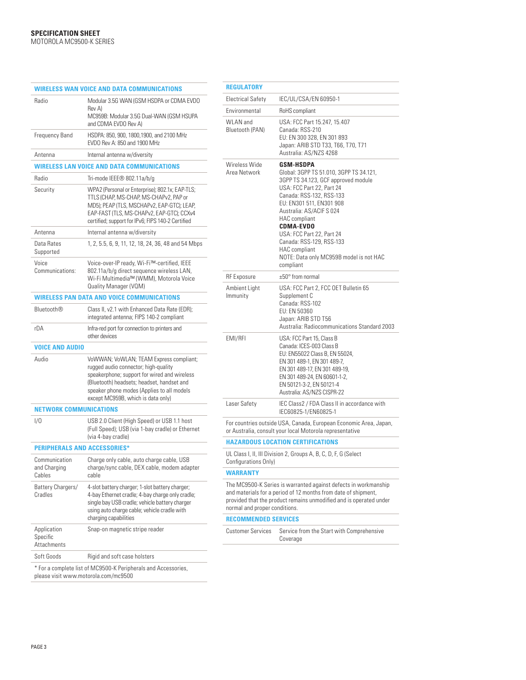|                                               | <b>WIRELESS WAN VOICE AND DATA COMMUNICATIONS</b>                                                                                                                                                                                                                 |
|-----------------------------------------------|-------------------------------------------------------------------------------------------------------------------------------------------------------------------------------------------------------------------------------------------------------------------|
| Radio                                         | Modular 3.5G WAN (GSM HSDPA or CDMA EVDO<br>Rev A)<br>MC959B: Modular 3.5G Dual-WAN (GSM HSUPA<br>and CDMA EVDO Rev A)                                                                                                                                            |
| <b>Frequency Band</b>                         | HSDPA: 850, 900, 1800, 1900, and 2100 MHz<br>EVDO Rev A: 850 and 1900 MHz                                                                                                                                                                                         |
| Antenna                                       | Internal antenna w/diversity                                                                                                                                                                                                                                      |
|                                               | WIRELESS LAN VOICE AND DATA COMMUNICATIONS                                                                                                                                                                                                                        |
| Radio                                         | Tri-mode IEEE® 802.11a/b/g                                                                                                                                                                                                                                        |
| Security                                      | WPA2 (Personal or Enterprise); 802.1x; EAP-TLS;<br>TTLS (CHAP, MS-CHAP, MS-CHAPv2, PAP or<br>MD5); PEAP (TLS, MSCHAPv2, EAP-GTC); LEAP,<br>EAP-FAST (TLS, MS-CHAPv2, EAP-GTC); CCXv4<br>certified; support for IPv6; FIPS 140-2 Certified                         |
| Antenna                                       | Internal antenna w/diversity                                                                                                                                                                                                                                      |
| Data Rates<br>Supported                       | 1, 2, 5.5, 6, 9, 11, 12, 18, 24, 36, 48 and 54 Mbps                                                                                                                                                                                                               |
| Voice<br>Communications:                      | Voice-over-IP ready, Wi-Fi™-certified, IEEE<br>802.11a/b/g direct sequence wireless LAN,<br>Wi-Fi Multimedia™ (WMM), Motorola Voice<br>Quality Manager (VQM)                                                                                                      |
|                                               | <b>WIRELESS PAN DATA AND VOICE COMMUNICATIONS</b>                                                                                                                                                                                                                 |
| <b>Bluetooth®</b>                             | Class II, v2.1 with Enhanced Data Rate (EDR);<br>integrated antenna; FIPS 140-2 compliant                                                                                                                                                                         |
| rDA                                           | Infra-red port for connection to printers and<br>other devices                                                                                                                                                                                                    |
| <b>VOICE AND AUDIO</b>                        |                                                                                                                                                                                                                                                                   |
| Audio                                         | VoWWAN; VoWLAN; TEAM Express compliant;<br>rugged audio connector; high-quality<br>speakerphone; support for wired and wireless<br>(Bluetooth) headsets; headset, handset and<br>speaker phone modes (Applies to all models<br>except MC959B, which is data only) |
| <b>NETWORK COMMUNICATIONS</b>                 |                                                                                                                                                                                                                                                                   |
| 1/0                                           | USB 2.0 Client (High Speed) or USB 1.1 host<br>(Full Speed); USB (via 1-bay cradle) or Ethernet<br>(via 4-bay cradle)                                                                                                                                             |
| <b>PERIPHERALS AND ACCESSORIES*</b>           |                                                                                                                                                                                                                                                                   |
|                                               |                                                                                                                                                                                                                                                                   |
| Communication<br>and Charging<br>Cables       | Charge only cable, auto charge cable, USB<br>charge/sync cable, DEX cable, modem adapter<br>cable                                                                                                                                                                 |
| Battery Chargers/<br>Cradles                  | 4-slot battery charger; 1-slot battery charger;<br>4-bay Ethernet cradle; 4-bay charge only cradle;<br>single bay USB cradle; vehicle battery charger<br>using auto charge cable; vehicle cradle with<br>charging capabilities                                    |
| Application<br>Specific<br><b>Attachments</b> | Snap-on magnetic stripe reader                                                                                                                                                                                                                                    |

#### **REGULATORY**

| <b>KEGULAIUKY</b>                  |                                                                                                                                                                                                                                                                                                                                                                                                          |
|------------------------------------|----------------------------------------------------------------------------------------------------------------------------------------------------------------------------------------------------------------------------------------------------------------------------------------------------------------------------------------------------------------------------------------------------------|
| <b>Electrical Safety</b>           | IEC/UL/CSA/EN 60950-1                                                                                                                                                                                                                                                                                                                                                                                    |
| Environmental                      | RoHS compliant                                                                                                                                                                                                                                                                                                                                                                                           |
| <b>WLAN</b> and<br>Bluetooth (PAN) | USA: FCC Part 15.247, 15.407<br>Canada: RSS-210<br>EU: EN 300 328, EN 301 893<br>Japan: ARIB STD T33, T66, T70, T71<br>Australia: AS/NZS 4268                                                                                                                                                                                                                                                            |
| Wireless Wide<br>Area Network      | <b>GSM-HSDPA</b><br>Global: 3GPP TS 51.010, 3GPP TS 34.121,<br>3GPP TS 34.123, GCF approved module<br>USA: FCC Part 22, Part 24<br>Canada: RSS-132, RSS-133<br>EU: EN301 511, EN301 908<br>Australia: AS/ACIF S 024<br><b>HAC</b> compliant<br><b>CDMA-EVDO</b><br>USA: FCC Part 22, Part 24<br>Canada: RSS-129, RSS-133<br><b>HAC</b> compliant<br>NOTE: Data only MC959B model is not HAC<br>compliant |
| <b>RF</b> Exposure                 | $\pm 50^\circ$ from normal                                                                                                                                                                                                                                                                                                                                                                               |
| Ambient Light<br>Immunity          | USA: FCC Part 2, FCC OET Bulletin 65<br>Supplement C<br>Canada: RSS-102<br>EU: EN 50360<br>Japan: ARIB STD T56<br>Australia: Radiocommunications Standard 2003                                                                                                                                                                                                                                           |
| EMI/RFI                            | USA: FCC Part 15, Class B<br>Canada: ICES-003 Class B<br>EU: EN55022 Class B, EN 55024,<br>EN 301 489-1, EN 301 489-7,<br>EN 301 489-17, EN 301 489-19,<br>EN 301 489-24, EN 60601-1-2,<br>EN 50121-3-2, EN 50121-4<br>Australia: AS/NZS CISPR-22                                                                                                                                                        |
| Laser Safety                       | IEC Class2 / FDA Class II in accordance with<br>IEC60825-1/EN60825-1                                                                                                                                                                                                                                                                                                                                     |
|                                    | For countries outside USA, Canada, European Economic Area, Japan,<br>or Australia, consult your local Motorola representative                                                                                                                                                                                                                                                                            |
|                                    | <b>HAZARDOUS LOCATION CERTIFICATIONS</b>                                                                                                                                                                                                                                                                                                                                                                 |
| Configurations Only)               | UL Class I, II, III Division 2, Groups A, B, C, D, F, G (Select                                                                                                                                                                                                                                                                                                                                          |
| <b>WARRANTY</b>                    |                                                                                                                                                                                                                                                                                                                                                                                                          |
| normal and proper conditions.      | The MC9500-K Series is warranted against defects in workmanship<br>and materials for a period of 12 months from date of shipment,<br>provided that the product remains unmodified and is operated under                                                                                                                                                                                                  |
| <b>RECOMMENDED SERVICES</b>        |                                                                                                                                                                                                                                                                                                                                                                                                          |
|                                    |                                                                                                                                                                                                                                                                                                                                                                                                          |

Customer Services Service from the Start with Comprehensive Coverage